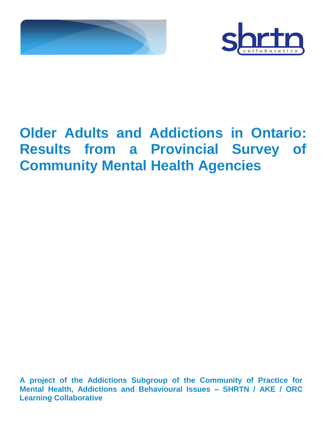



# **Older Adults and Addictions in Ontario: Results from a Provincial Survey of Community Mental Health Agencies**

**A project of the Addictions Subgroup of the Community of Practice for Mental Health, Addictions and Behavioural Issues – SHRTN / AKE / ORC Learning Collaborative**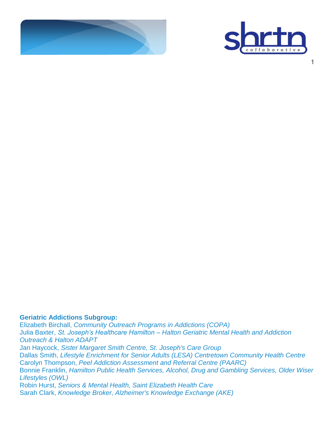



1

**Geriatric Addictions Subgroup:**

Elizabeth Birchall, *Community Outreach Programs in Addictions (COPA)* Julia Baxter, *St. Joseph's Healthcare Hamilton – Halton Geriatric Mental Health and Addiction Outreach & Halton ADAPT* Jan Haycock, *Sister Margaret Smith Centre, St. Joseph's Care Group* Dallas Smith, *Lifestyle Enrichment for Senior Adults (LESA) Centretown Community Health Centre* Carolyn Thompson, *Peel Addiction Assessment and Referral Centre (PAARC)* Bonnie Franklin, *Hamilton Public Health Services, Alcohol, Drug and Gambling Services, Older Wiser Lifestyles (OWL)* Robin Hurst, *Seniors & Mental Health, Saint Elizabeth Health Care* Sarah Clark, *Knowledge Broker, Alzheimer's Knowledge Exchange (AKE)*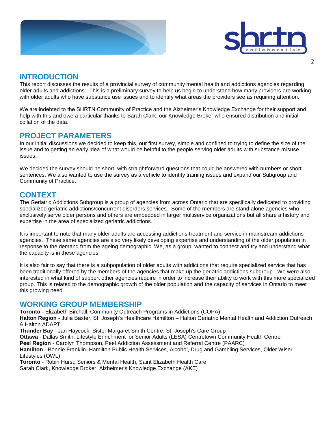



### **INTRODUCTION**

This report discusses the results of a provincial survey of community mental health and addictions agencies regarding older adults and addictions. This is a preliminary survey to help us begin to understand how many providers are working with older adults who have substance use issues and to identify what areas the providers see as requiring attention.

We are indebted to the SHRTN Community of Practice and the Alzheimer's Knowledge Exchange for their support and help with this and owe a particular thanks to Sarah Clark, our Knowledge Broker who ensured distribution and initial collation of the data.

### **PROJECT PARAMETERS**

In our initial discussions we decided to keep this, our first survey, simple and confined to trying to define the size of the issue and to getting an early idea of what would be helpful to the people serving older adults with substance misuse issues.

We decided the survey should be short, with straightforward questions that could be answered with numbers or short sentences. We also wanted to use the survey as a vehicle to identify training issues and expand our Subgroup and Community of Practice.

## **CONTEXT**

The Geriatric Addictions Subgroup is a group of agencies from across Ontario that are specifically dedicated to providing specialized geriatric addictions/concurrent disorders services. Some of the members are stand alone agencies who exclusively serve older persons and others are embedded in larger multiservice organizations but all share a history and expertise in the area of specialized geriatric addictions.

It is important to note that many older adults are accessing addictions treatment and service in mainstream addictions agencies. These same agencies are also very likely developing expertise and understanding of the older population in response to the demand from the ageing demographic. We, as a group, wanted to connect and try and understand what the capacity is in these agencies.

It is also fair to say that there is a subpopulation of older adults with addictions that require specialized service that has been traditionally offered by the members of the agencies that make up the geriatric addictions subgroup. We were also interested in what kind of support other agencies require in order to increase their ability to work with this more specialized group. This is related to the demographic growth of the older population and the capacity of services in Ontario to meet this growing need.

### **WORKING GROUP MEMBERSHIP**

**Toronto -** Elizabeth Birchall, Community Outreach Programs in Addictions (COPA)

**Halton Region** - Julia Baxter, St. Joseph's Healthcare Hamilton – Halton Geriatric Mental Health and Addiction Outreach & Halton ADAPT

**Thunder Bay** - Jan Haycock, Sister Margaret Smith Centre, St. Joseph's Care Group

**Ottawa** - Dallas Smith, Lifestyle Enrichment for Senior Adults (LESA) Centretown Community Health Centre

**Peel Region** - Carolyn Thompson, Peel Addiction Assessment and Referral Centre (PAARC)

**Hamilton** - Bonnie Franklin, Hamilton Public Health Services, Alcohol, Drug and Gambling Services, Older Wiser Lifestyles (OWL)

**Toronto** - Robin Hurst, Seniors & Mental Health, Saint Elizabeth Health Care Sarah Clark, Knowledge Broker, Alzheimer's Knowledge Exchange (AKE)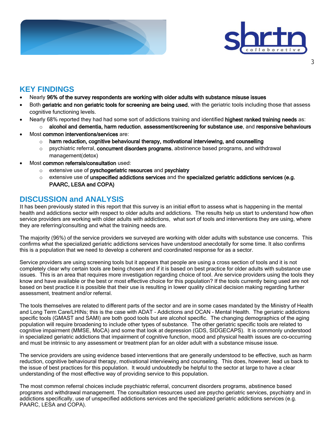



## **KEY FINDINGS**

- Nearly 96% of the survey respondents are working with older adults with substance misuse issues
- Both geriatric and non geriatric tools for screening are being used, with the geriatric tools including those that assess cognitive functioning levels.
- Nearly 68% reported they had had some sort of addictions training and identified highest ranked training needs as:
	- o alcohol and dementia, harm reduction, assessment/screening for substance use, and responsive behaviours
- Most common interventions/services are:
	- $\circ$  harm reduction, cognitive behavioural therapy, motivational interviewing, and counselling
	- o psychiatric referral, concurrent disorders programs, abstinence based programs, and withdrawal management(detox)
- Most common referrals/consultation used:
	- o extensive use of pyschogeriatric resources and psychiatry
	- $\circ$  extensive use of unspecified addictions services and the specialized geriatric addictions services (e.g. PAARC, LESA and COPA)

## **DISCUSSION and ANALYSIS**

It has been previously stated in this report that this survey is an initial effort to assess what is happening in the mental health and addictions sector with respect to older adults and addictions. The results help us start to understand how often service providers are working with older adults with addictions, what sort of tools and interventions they are using, where they are referring/consulting and what the training needs are.

The majority (96%) of the service providers we surveyed are working with older adults with substance use concerns. This confirms what the specialized geriatric addictions services have understood anecdotally for some time. It also confirms this is a population that we need to develop a coherent and coordinated response for as a sector.

Service providers are using screening tools but it appears that people are using a cross section of tools and it is not completely clear why certain tools are being chosen and if it is based on best practice for older adults with substance use issues. This is an area that requires more investigation regarding choice of tool. Are service providers using the tools they know and have available or the best or most effective choice for this population? If the tools currently being used are not based on best practice it is possible that their use is resulting in lower quality clinical decision making regarding further assessment, treatment and/or referral.

The tools themselves are related to different parts of the sector and are in some cases mandated by the Ministry of Health and Long Term Care/LHINs; this is the case with ADAT – Addictions and OCAN – Mental Health. The geriatric addictions specific tools (GMAST and SAMI) are both good tools but are alcohol specific. The changing demographics of the aging population will require broadening to include other types of substance. The other geriatric specific tools are related to cognitive impairment (MMSE, MoCA) and some that look at depression (GDS, SIDGECAPS). It is commonly understood in specialized geriatric addictions that impairment of cognitive function, mood and physical health issues are co-occurring and must be intrinsic to any assessment or treatment plan for an older adult with a substance misuse issue.

The service providers are using evidence based interventions that are generally understood to be effective, such as harm reduction, cognitive behavioural therapy, motivational interviewing and counseling. This does, however, lead us back to the issue of best practices for this population. It would undoubtedly be helpful to the sector at large to have a clear understanding of the most effective way of providing service to this population.

The most common referral choices include psychiatric referral, concurrent disorders programs, abstinence based programs and withdrawal management. The consultation resources used are psycho geriatric services, psychiatry and in addictions specifically, use of unspecified addictions services and the specialized geriatric addictions services (e.g. PAARC, LESA and COPA).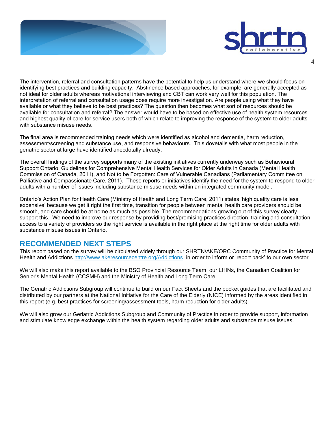



The intervention, referral and consultation patterns have the potential to help us understand where we should focus on identifying best practices and building capacity. Abstinence based approaches, for example, are generally accepted as not ideal for older adults whereas motivational interviewing and CBT can work very well for this population. The interpretation of referral and consultation usage does require more investigation. Are people using what they have available or what they believe to be best practices? The question then becomes what sort of resources should be available for consultation and referral? The answer would have to be based on effective use of health system resources and highest quality of care for service users both of which relate to improving the response of the system to older adults with substance misuse needs.

The final area is recommended training needs which were identified as alcohol and dementia, harm reduction, assessment/screening and substance use, and responsive behaviours. This dovetails with what most people in the geriatric sector at large have identified anecdotally already.

The overall findings of the survey supports many of the existing initiatives currently underway such as Behavioural Support Ontario, Guidelines for Comprehensive Mental Health Services for Older Adults in Canada (Mental Health Commission of Canada, 2011), and Not to be Forgotten: Care of Vulnerable Canadians (Parliamentary Committee on Palliative and Compassionate Care, 2011). These reports or initiatives identify the need for the system to respond to older adults with a number of issues including substance misuse needs within an integrated community model.

Ontario's Action Plan for Health Care (Ministry of Health and Long Term Care, 2011) states 'high quality care is less expensive' because we get it right the first time, transition for people between mental health care providers should be smooth, and care should be at home as much as possible. The recommendations growing out of this survey clearly support this. We need to improve our response by providing best/promising practices direction, training and consultation access to a variety of providers so the right service is available in the right place at the right time for older adults with substance misuse issues in Ontario.

## **RECOMMENDED NEXT STEPS**

This report based on the survey will be circulated widely through our SHRTN/AKE/ORC Community of Practice for Mental Health and Addictions <http://www.akeresourcecentre.org/Addictions>in order to inform or 'report back' to our own sector.

We will also make this report available to the BSO Provincial Resource Team, our LHINs, the Canadian Coalition for Senior's Mental Health (CCSMH) and the Ministry of Health and Long Term Care.

The Geriatric Addictions Subgroup will continue to build on our Fact Sheets and the pocket guides that are facilitated and distributed by our partners at the National Initiative for the Care of the Elderly (NICE) informed by the areas identified in this report (e.g. best practices for screening/assessment tools, harm reduction for older adults).

We will also grow our Geriatric Addictions Subgroup and Community of Practice in order to provide support, information and stimulate knowledge exchange within the health system regarding older adults and substance misuse issues.

4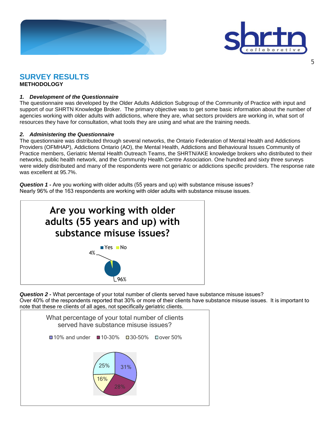



## **SURVEY RESULTS**

**METHODOLOGY**

#### *1. Development of the Questionnaire*

The questionnaire was developed by the Older Adults Addiction Subgroup of the Community of Practice with input and support of our SHRTN Knowledge Broker. The primary objective was to get some basic information about the number of agencies working with older adults with addictions, where they are, what sectors providers are working in, what sort of resources they have for consultation, what tools they are using and what are the training needs.

#### *2. Administering the Questionnaire*

The questionnaire was distributed through several networks, the Ontario Federation of Mental Health and Addictions Providers (OFMHAP), Addictions Ontario (AO), the Mental Health, Addictions and Behavioural Issues Community of Practice members, Geriatric Mental Health Outreach Teams, the SHRTN/AKE knowledge brokers who distributed to their networks, public health network, and the Community Health Centre Association. One hundred and sixty three surveys were widely distributed and many of the respondents were not geriatric or addictions specific providers. The response rate was excellent at 95.7%.

*Question 1 -* Are you working with older adults (55 years and up) with substance misuse issues? Nearly 96% of the 163 respondents are working with older adults with substance misuse issues.



*Question 2 -* What percentage of your total number of clients served have substance misuse issues? Over 40% of the respondents reported that 30% or more of their clients have substance misuse issues. It is important to note that these re clients of all ages, not specifically geriatric clients.

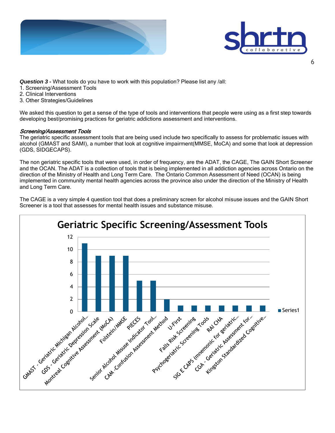



*Question 3 -* What tools do you have to work with this population? Please list any /all:

- 1. Screening/Assessment Tools
- 2. Clinical Interventions
- 3. Other Strategies/Guidelines

We asked this question to get a sense of the type of tools and interventions that people were using as a first step towards developing best/promising practices for geriatric addictions assessment and interventions.

#### Screening/Assessment Tools

The geriatric specific assessment tools that are being used include two specifically to assess for problematic issues with alcohol (GMAST and SAMI), a number that look at cognitive impairment(MMSE, MoCA) and some that look at depression (GDS, SIDGECAPS).

The non geriatric specific tools that were used, in order of frequency, are the ADAT, the CAGE, The GAIN Short Screener and the OCAN. The ADAT is a collection of tools that is being implemented in all addiction agencies across Ontario on the direction of the Ministry of Health and Long Term Care. The Ontario Common Assessment of Need (OCAN) is being implemented in community mental health agencies across the province also under the direction of the Ministry of Health and Long Term Care.

The CAGE is a very simple 4 question tool that does a preliminary screen for alcohol misuse issues and the GAIN Short Screener is a tool that assesses for mental health issues and substance misuse.

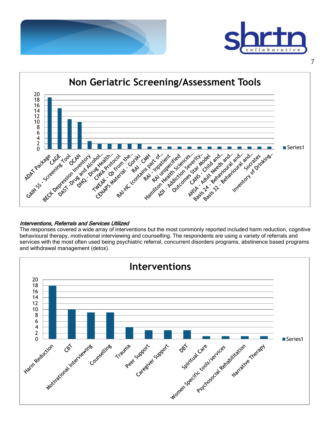





#### Interventions, Referrals and Services Utilized

The responses covered a wide array of interventions but the most commonly reported included harm reduction, cognitive behavioural therapy, motivational interviewing and counselling. The respondents are using a variety of referrals and services with the most often used being psychiatric referral, concurrent disorders programs, abstinence based programs and withdrawal management (detox).

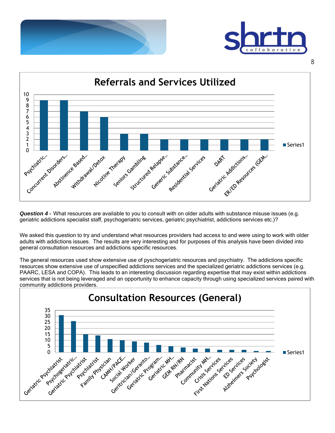





*Question 4 -* What resources are available to you to consult with on older adults with substance misuse issues (e.g. geriatric addictions specialist staff, psychogeriatric services, geriatric psychiatrist, addictions services etc.)?

We asked this question to try and understand what resources providers had access to and were using to work with older adults with addictions issues. The results are very interesting and for purposes of this analysis have been divided into general consultation resources and addictions specific resources.

The general resources used show extensive use of pyschogeriatric resources and psychiatry. The addictions specific resources show extensive use of unspecified addictions services and the specialized geriatric addictions services (e.g. PAARC, LESA and COPA). This leads to an interesting discussion regarding expertise that may exist within addictions services that is not being leveraged and an opportunity to enhance capacity through using specialized services paired with community addictions providers.

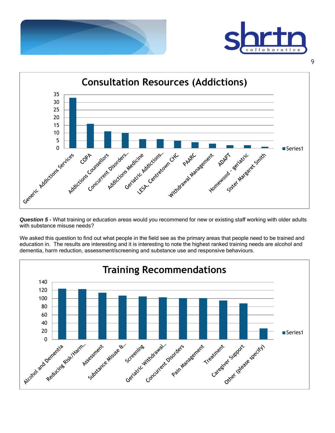



![](_page_9_Figure_2.jpeg)

*Question 5 -* What training or education areas would you recommend for new or existing staff working with older adults with substance misuse needs?

dementia, harm reduction, assessment/screening and substance use and responsive behaviours. **Training Recommendations**

We asked this question to find out what people in the field see as the primary areas that people need to be trained and education in. The results are interesting and it is interesting to note the highest ranked training needs are alcohol and

![](_page_9_Figure_6.jpeg)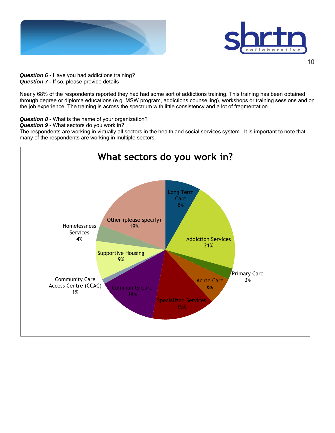![](_page_10_Picture_0.jpeg)

![](_page_10_Picture_1.jpeg)

*Question 6 -* Have you had addictions training? *Question 7 -* If so, please provide details

Nearly 68% of the respondents reported they had had some sort of addictions training. This training has been obtained through degree or diploma educations (e.g. MSW program, addictions counselling), workshops or training sessions and on the job experience. The training is across the spectrum with little consistency and a lot of fragmentation.

*Question 8 -* What is the name of your organization?

*Question 9 -* What sectors do you work in?

The respondents are working in virtually all sectors in the health and social services system. It is important to note that many of the respondents are working in multiple sectors.

![](_page_10_Figure_7.jpeg)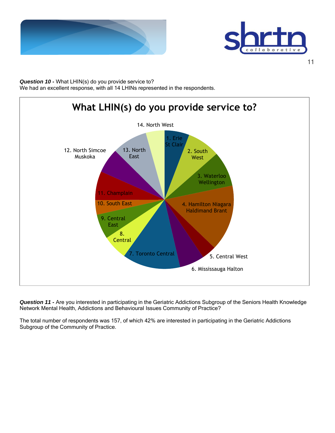![](_page_11_Picture_0.jpeg)

![](_page_11_Picture_1.jpeg)

*Question 10 -* What LHIN(s) do you provide service to? We had an excellent response, with all 14 LHINs represented in the respondents.

![](_page_11_Figure_3.jpeg)

*Question 11 -* Are you interested in participating in the Geriatric Addictions Subgroup of the Seniors Health Knowledge Network Mental Health, Addictions and Behavioural Issues Community of Practice?

The total number of respondents was 157, of which 42% are interested in participating in the Geriatric Addictions Subgroup of the Community of Practice.